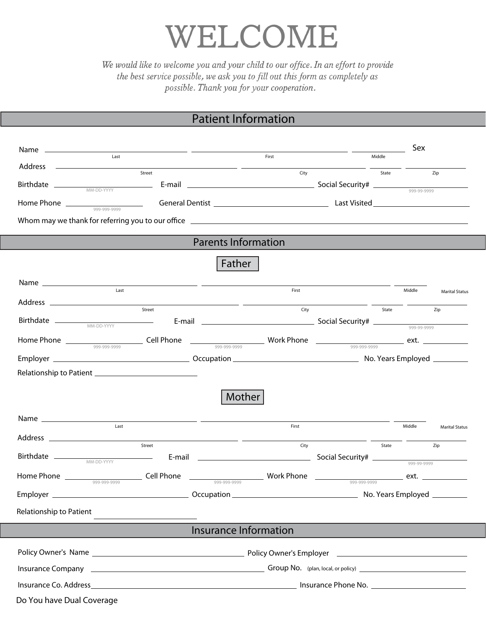## WELCOME

We would like to welcome you and your child to our office. In an effort to provide the best service possible, we ask you to fill out this form as completely as possible. Thank you for your cooperation.

## Patient Information

|                                                               | <u> 1989 - Johann Harry Harry Barn, amerikan bisa pada 2001 - Johann Harry Barn, amerikan bisa pada 2001 - Johann </u> |       |                                                                                                                                                                                                                                                                                                                                                                                                                      |        | Sex    |                       |
|---------------------------------------------------------------|------------------------------------------------------------------------------------------------------------------------|-------|----------------------------------------------------------------------------------------------------------------------------------------------------------------------------------------------------------------------------------------------------------------------------------------------------------------------------------------------------------------------------------------------------------------------|--------|--------|-----------------------|
| Last                                                          |                                                                                                                        | First |                                                                                                                                                                                                                                                                                                                                                                                                                      | Middle |        |                       |
| $Address \n\nStreet$                                          |                                                                                                                        | City  |                                                                                                                                                                                                                                                                                                                                                                                                                      | State  |        | Zip                   |
|                                                               |                                                                                                                        |       |                                                                                                                                                                                                                                                                                                                                                                                                                      |        |        |                       |
|                                                               |                                                                                                                        |       |                                                                                                                                                                                                                                                                                                                                                                                                                      |        |        |                       |
|                                                               |                                                                                                                        |       |                                                                                                                                                                                                                                                                                                                                                                                                                      |        |        |                       |
|                                                               |                                                                                                                        |       |                                                                                                                                                                                                                                                                                                                                                                                                                      |        |        |                       |
|                                                               | <b>Parents Information</b>                                                                                             |       |                                                                                                                                                                                                                                                                                                                                                                                                                      |        |        |                       |
|                                                               | Father                                                                                                                 |       |                                                                                                                                                                                                                                                                                                                                                                                                                      |        |        |                       |
|                                                               |                                                                                                                        |       |                                                                                                                                                                                                                                                                                                                                                                                                                      |        |        |                       |
| Last                                                          |                                                                                                                        | First |                                                                                                                                                                                                                                                                                                                                                                                                                      |        | Middle | <b>Marital Status</b> |
|                                                               | Street                                                                                                                 | City  | $\frac{1}{\sqrt{1-\frac{1}{2}}\sqrt{1-\frac{1}{2}}\sqrt{1-\frac{1}{2}}\sqrt{1-\frac{1}{2}}\sqrt{1-\frac{1}{2}}\sqrt{1-\frac{1}{2}}\sqrt{1-\frac{1}{2}}\sqrt{1-\frac{1}{2}}\sqrt{1-\frac{1}{2}}\sqrt{1-\frac{1}{2}}\sqrt{1-\frac{1}{2}}\sqrt{1-\frac{1}{2}}\sqrt{1-\frac{1}{2}}\sqrt{1-\frac{1}{2}}\sqrt{1-\frac{1}{2}}\sqrt{1-\frac{1}{2}}\sqrt{1-\frac{1}{2}}\sqrt{1-\frac{1}{2}}\sqrt{1-\frac{1}{2}}\sqrt{1-\frac$ |        |        | Zip                   |
|                                                               |                                                                                                                        |       |                                                                                                                                                                                                                                                                                                                                                                                                                      |        |        |                       |
|                                                               |                                                                                                                        |       |                                                                                                                                                                                                                                                                                                                                                                                                                      |        |        |                       |
|                                                               |                                                                                                                        |       |                                                                                                                                                                                                                                                                                                                                                                                                                      |        |        |                       |
|                                                               |                                                                                                                        |       |                                                                                                                                                                                                                                                                                                                                                                                                                      |        |        |                       |
|                                                               |                                                                                                                        |       |                                                                                                                                                                                                                                                                                                                                                                                                                      |        |        |                       |
|                                                               | <b>Mother</b>                                                                                                          |       |                                                                                                                                                                                                                                                                                                                                                                                                                      |        |        |                       |
|                                                               |                                                                                                                        |       |                                                                                                                                                                                                                                                                                                                                                                                                                      |        |        |                       |
| $\begin{tabular}{c} Name & \textbf{} \\ \hline \end{tabular}$ |                                                                                                                        | First |                                                                                                                                                                                                                                                                                                                                                                                                                      |        | Middle | <b>Marital Status</b> |
| Street                                                        |                                                                                                                        | City  |                                                                                                                                                                                                                                                                                                                                                                                                                      | State  |        | Zip                   |
|                                                               |                                                                                                                        |       |                                                                                                                                                                                                                                                                                                                                                                                                                      |        |        |                       |
|                                                               | $\frac{1}{\sqrt{1-\frac{999-999-9999}{999-999-9999}}$ ext.                                                             |       |                                                                                                                                                                                                                                                                                                                                                                                                                      |        |        |                       |
|                                                               |                                                                                                                        |       |                                                                                                                                                                                                                                                                                                                                                                                                                      |        |        |                       |
|                                                               |                                                                                                                        |       |                                                                                                                                                                                                                                                                                                                                                                                                                      |        |        |                       |
| Relationship to Patient                                       |                                                                                                                        |       |                                                                                                                                                                                                                                                                                                                                                                                                                      |        |        |                       |
|                                                               | <b>Insurance Information</b>                                                                                           |       |                                                                                                                                                                                                                                                                                                                                                                                                                      |        |        |                       |
|                                                               |                                                                                                                        |       |                                                                                                                                                                                                                                                                                                                                                                                                                      |        |        |                       |
|                                                               |                                                                                                                        |       |                                                                                                                                                                                                                                                                                                                                                                                                                      |        |        |                       |
|                                                               |                                                                                                                        |       |                                                                                                                                                                                                                                                                                                                                                                                                                      |        |        |                       |
|                                                               |                                                                                                                        |       |                                                                                                                                                                                                                                                                                                                                                                                                                      |        |        |                       |
| Do You have Dual Coverage                                     |                                                                                                                        |       |                                                                                                                                                                                                                                                                                                                                                                                                                      |        |        |                       |